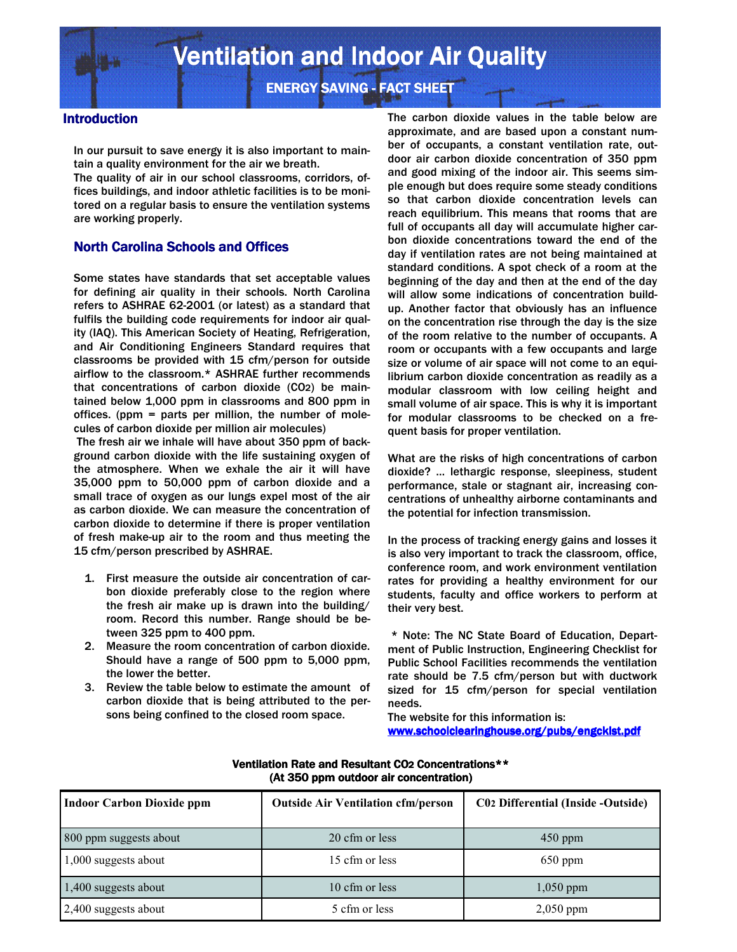**ENERGY SAVING - FACT SHEET** 

## **Introduction**

In our pursuit to save energy it is also important to maintain a quality environment for the air we breath.

The quality of air in our school classrooms, corridors, offices buildings, and indoor athletic facilities is to be monitored on a regular basis to ensure the ventilation systems are working properly.

## **North Carolina Schools and Offices**

Some states have standards that set acceptable values for defining air quality in their schools. North Carolina refers to ASHRAE 62-2001 (or latest) as a standard that fulfils the building code requirements for indoor air quality (IAQ). This American Society of Heating, Refrigeration, and Air Conditioning Engineers Standard requires that classrooms be provided with 15 cfm/person for outside airflow to the classroom.\* ASHRAE further recommends that concentrations of carbon dioxide (CO2) be maintained below 1,000 ppm in classrooms and 800 ppm in offices. (ppm = parts per million, the number of molecules of carbon dioxide per million air molecules)

 The fresh air we inhale will have about 350 ppm of background carbon dioxide with the life sustaining oxygen of the atmosphere. When we exhale the air it will have 35,000 ppm to 50,000 ppm of carbon dioxide and a small trace of oxygen as our lungs expel most of the air as carbon dioxide. We can measure the concentration of carbon dioxide to determine if there is proper ventilation of fresh make-up air to the room and thus meeting the 15 cfm/person prescribed by ASHRAE.

- 1. First measure the outside air concentration of carbon dioxide preferably close to the region where the fresh air make up is drawn into the building/ room. Record this number. Range should be between 325 ppm to 400 ppm.
- 2. Measure the room concentration of carbon dioxide. Should have a range of 500 ppm to 5,000 ppm, the lower the better.
- 3. Review the table below to estimate the amount of carbon dioxide that is being attributed to the persons being confined to the closed room space.

The carbon dioxide values in the table below are approximate, and are based upon a constant number of occupants, a constant ventilation rate, outdoor air carbon dioxide concentration of 350 ppm and good mixing of the indoor air. This seems simple enough but does require some steady conditions so that carbon dioxide concentration levels can reach equilibrium. This means that rooms that are full of occupants all day will accumulate higher carbon dioxide concentrations toward the end of the day if ventilation rates are not being maintained at standard conditions. A spot check of a room at the beginning of the day and then at the end of the day will allow some indications of concentration buildup. Another factor that obviously has an influence on the concentration rise through the day is the size of the room relative to the number of occupants. A room or occupants with a few occupants and large size or volume of air space will not come to an equilibrium carbon dioxide concentration as readily as a modular classroom with low ceiling height and small volume of air space. This is why it is important for modular classrooms to be checked on a frequent basis for proper ventilation.

What are the risks of high concentrations of carbon dioxide? … lethargic response, sleepiness, student performance, stale or stagnant air, increasing concentrations of unhealthy airborne contaminants and the potential for infection transmission.

In the process of tracking energy gains and losses it is also very important to track the classroom, office, conference room, and work environment ventilation rates for providing a healthy environment for our students, faculty and office workers to perform at their very best.

 \* Note: The NC State Board of Education, Department of Public Instruction, Engineering Checklist for Public School Facilities recommends the ventilation rate should be 7.5 cfm/person but with ductwork sized for 15 cfm/person for special ventilation needs.

The website for this information is: www.schoolclearinghouse.org/pubs/engcklst.pdf

| <b>Indoor Carbon Dioxide ppm</b> | <b>Outside Air Ventilation cfm/person</b> | <b>C02 Differential (Inside -Outside)</b> |
|----------------------------------|-------------------------------------------|-------------------------------------------|
| 800 ppm suggests about           | 20 cfm or less                            | $450$ ppm                                 |
| 1,000 suggests about             | 15 cfm or less                            | $650$ ppm                                 |
| 1,400 suggests about             | 10 cfm or less                            | $1,050$ ppm                               |
| 2,400 suggests about             | 5 cfm or less                             | $2,050$ ppm                               |

### Ventilation Rate and Resultant CO2 Concentrations\*\* (At 350 ppm outdoor air concentration)